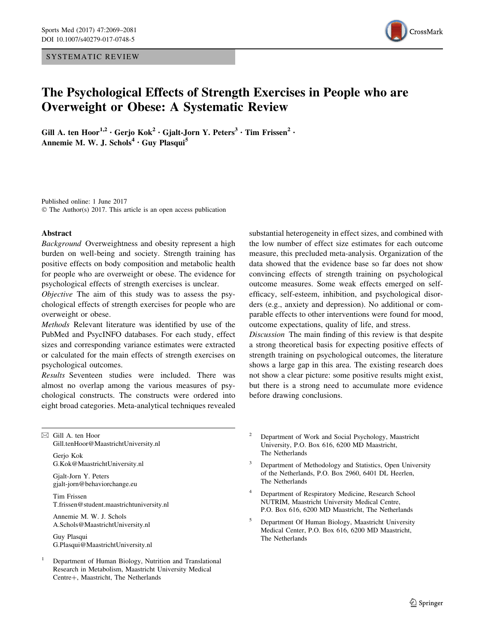# SYSTEMATIC REVIEW



# The Psychological Effects of Strength Exercises in People who are Overweight or Obese: A Systematic Review

Gill A. ten  $Hoor^{1,2} \cdot Gerjo Kok^2 \cdot Gjalt-Jorn Y. Peters^3 \cdot Tim Frissen^2 \cdot$ Annemie M. W. J. Schols $4 \cdot G$ uy Plasqui<sup>5</sup>

Published online: 1 June 2017 © The Author(s) 2017. This article is an open access publication

### Abstract

Background Overweightness and obesity represent a high burden on well-being and society. Strength training has positive effects on body composition and metabolic health for people who are overweight or obese. The evidence for psychological effects of strength exercises is unclear.

Objective The aim of this study was to assess the psychological effects of strength exercises for people who are overweight or obese.

Methods Relevant literature was identified by use of the PubMed and PsycINFO databases. For each study, effect sizes and corresponding variance estimates were extracted or calculated for the main effects of strength exercises on psychological outcomes.

Results Seventeen studies were included. There was almost no overlap among the various measures of psychological constructs. The constructs were ordered into eight broad categories. Meta-analytical techniques revealed

substantial heterogeneity in effect sizes, and combined with the low number of effect size estimates for each outcome measure, this precluded meta-analysis. Organization of the data showed that the evidence base so far does not show convincing effects of strength training on psychological outcome measures. Some weak effects emerged on selfefficacy, self-esteem, inhibition, and psychological disorders (e.g., anxiety and depression). No additional or comparable effects to other interventions were found for mood, outcome expectations, quality of life, and stress.

Discussion The main finding of this review is that despite a strong theoretical basis for expecting positive effects of strength training on psychological outcomes, the literature shows a large gap in this area. The existing research does not show a clear picture: some positive results might exist, but there is a strong need to accumulate more evidence before drawing conclusions.

 $\boxtimes$  Gill A. ten Hoor Gill.tenHoor@MaastrichtUniversity.nl

Gerjo Kok G.Kok@MaastrichtUniversity.nl

Gjalt-Jorn Y. Peters gjalt-jorn@behaviorchange.eu

Tim Frissen T.frissen@student.maastrichtuniversity.nl

Annemie M. W. J. Schols A.Schols@MaastrichtUniversity.nl

Guy Plasqui G.Plasqui@MaastrichtUniversity.nl

<sup>1</sup> Department of Human Biology, Nutrition and Translational Research in Metabolism, Maastricht University Medical Centre?, Maastricht, The Netherlands

- <sup>2</sup> Department of Work and Social Psychology, Maastricht University, P.O. Box 616, 6200 MD Maastricht, The Netherlands
- <sup>3</sup> Department of Methodology and Statistics, Open University of the Netherlands, P.O. Box 2960, 6401 DL Heerlen, The Netherlands
- Department of Respiratory Medicine, Research School NUTRIM, Maastricht University Medical Centre, P.O. Box 616, 6200 MD Maastricht, The Netherlands
- <sup>5</sup> Department Of Human Biology, Maastricht University Medical Center, P.O. Box 616, 6200 MD Maastricht, The Netherlands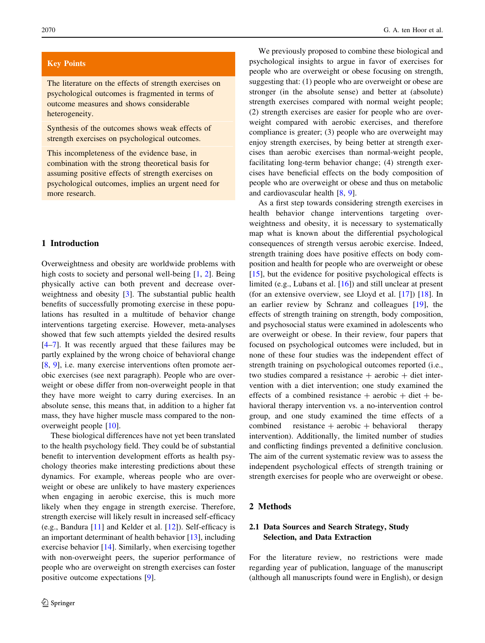# <span id="page-1-0"></span>Key Points

The literature on the effects of strength exercises on psychological outcomes is fragmented in terms of outcome measures and shows considerable heterogeneity.

Synthesis of the outcomes shows weak effects of strength exercises on psychological outcomes.

This incompleteness of the evidence base, in combination with the strong theoretical basis for assuming positive effects of strength exercises on psychological outcomes, implies an urgent need for more research.

# 1 Introduction

Overweightness and obesity are worldwide problems with high costs to society and personal well-being [[1,](#page-11-0) [2](#page-11-0)]. Being physically active can both prevent and decrease overweightness and obesity [\[3](#page-11-0)]. The substantial public health benefits of successfully promoting exercise in these populations has resulted in a multitude of behavior change interventions targeting exercise. However, meta-analyses showed that few such attempts yielded the desired results [\[4–7](#page-11-0)]. It was recently argued that these failures may be partly explained by the wrong choice of behavioral change [\[8](#page-11-0), [9](#page-11-0)], i.e. many exercise interventions often promote aerobic exercises (see next paragraph). People who are overweight or obese differ from non-overweight people in that they have more weight to carry during exercises. In an absolute sense, this means that, in addition to a higher fat mass, they have higher muscle mass compared to the nonoverweight people [[10\]](#page-11-0).

These biological differences have not yet been translated to the health psychology field. They could be of substantial benefit to intervention development efforts as health psychology theories make interesting predictions about these dynamics. For example, whereas people who are overweight or obese are unlikely to have mastery experiences when engaging in aerobic exercise, this is much more likely when they engage in strength exercise. Therefore, strength exercise will likely result in increased self-efficacy (e.g., Bandura [[11\]](#page-11-0) and Kelder et al. [[12\]](#page-11-0)). Self-efficacy is an important determinant of health behavior [\[13](#page-11-0)], including exercise behavior [\[14](#page-11-0)]. Similarly, when exercising together with non-overweight peers, the superior performance of people who are overweight on strength exercises can foster positive outcome expectations [[9\]](#page-11-0).

We previously proposed to combine these biological and psychological insights to argue in favor of exercises for people who are overweight or obese focusing on strength, suggesting that: (1) people who are overweight or obese are stronger (in the absolute sense) and better at (absolute) strength exercises compared with normal weight people; (2) strength exercises are easier for people who are overweight compared with aerobic exercises, and therefore compliance is greater; (3) people who are overweight may enjoy strength exercises, by being better at strength exercises than aerobic exercises than normal-weight people, facilitating long-term behavior change; (4) strength exercises have beneficial effects on the body composition of people who are overweight or obese and thus on metabolic and cardiovascular health [[8,](#page-11-0) [9\]](#page-11-0).

As a first step towards considering strength exercises in health behavior change interventions targeting overweightness and obesity, it is necessary to systematically map what is known about the differential psychological consequences of strength versus aerobic exercise. Indeed, strength training does have positive effects on body composition and health for people who are overweight or obese [\[15](#page-11-0)], but the evidence for positive psychological effects is limited (e.g., Lubans et al. [[16\]](#page-11-0)) and still unclear at present (for an extensive overview, see Lloyd et al. [\[17](#page-11-0)]) [[18\]](#page-11-0). In an earlier review by Schranz and colleagues [[19](#page-11-0)], the effects of strength training on strength, body composition, and psychosocial status were examined in adolescents who are overweight or obese. In their review, four papers that focused on psychological outcomes were included, but in none of these four studies was the independent effect of strength training on psychological outcomes reported (i.e., two studies compared a resistance  $+$  aerobic  $+$  diet intervention with a diet intervention; one study examined the effects of a combined resistance  $+$  aerobic  $+$  diet  $+$  behavioral therapy intervention vs. a no-intervention control group, and one study examined the time effects of a combined resistance  $+$  aerobic  $+$  behavioral therapy intervention). Additionally, the limited number of studies and conflicting findings prevented a definitive conclusion. The aim of the current systematic review was to assess the independent psychological effects of strength training or strength exercises for people who are overweight or obese.

# 2 Methods

# 2.1 Data Sources and Search Strategy, Study Selection, and Data Extraction

For the literature review, no restrictions were made regarding year of publication, language of the manuscript (although all manuscripts found were in English), or design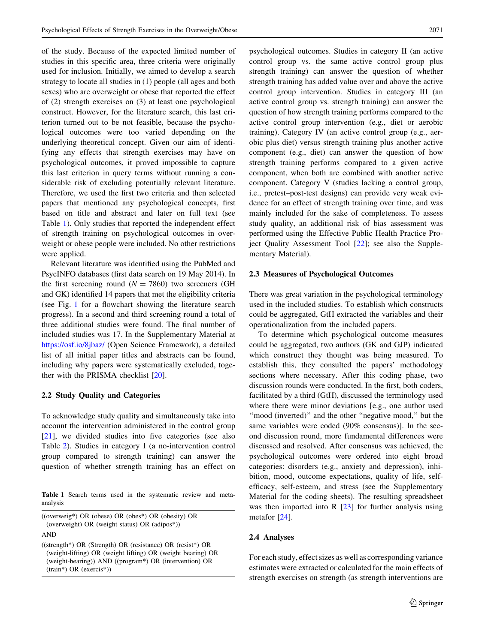of the study. Because of the expected limited number of studies in this specific area, three criteria were originally used for inclusion. Initially, we aimed to develop a search strategy to locate all studies in (1) people (all ages and both sexes) who are overweight or obese that reported the effect of (2) strength exercises on (3) at least one psychological construct. However, for the literature search, this last criterion turned out to be not feasible, because the psychological outcomes were too varied depending on the underlying theoretical concept. Given our aim of identifying any effects that strength exercises may have on psychological outcomes, it proved impossible to capture this last criterion in query terms without running a considerable risk of excluding potentially relevant literature. Therefore, we used the first two criteria and then selected papers that mentioned any psychological concepts, first based on title and abstract and later on full text (see Table 1). Only studies that reported the independent effect of strength training on psychological outcomes in overweight or obese people were included. No other restrictions were applied.

Relevant literature was identified using the PubMed and PsycINFO databases (first data search on 19 May 2014). In the first screening round ( $N = 7860$ ) two screeners (GH and GK) identified 14 papers that met the eligibility criteria (see Fig. [1](#page-3-0) for a flowchart showing the literature search progress). In a second and third screening round a total of three additional studies were found. The final number of included studies was 17. In the Supplementary Material at <https://osf.io/8jbaz/> (Open Science Framework), a detailed list of all initial paper titles and abstracts can be found, including why papers were systematically excluded, together with the PRISMA checklist [\[20](#page-11-0)].

## 2.2 Study Quality and Categories

To acknowledge study quality and simultaneously take into account the intervention administered in the control group [\[21](#page-11-0)], we divided studies into five categories (see also Table [2](#page-3-0)). Studies in category I (a no-intervention control group compared to strength training) can answer the question of whether strength training has an effect on

Table 1 Search terms used in the systematic review and metaanalysis

AND

psychological outcomes. Studies in category II (an active control group vs. the same active control group plus strength training) can answer the question of whether strength training has added value over and above the active control group intervention. Studies in category III (an active control group vs. strength training) can answer the question of how strength training performs compared to the active control group intervention (e.g., diet or aerobic training). Category IV (an active control group (e.g., aerobic plus diet) versus strength training plus another active component (e.g., diet) can answer the question of how strength training performs compared to a given active component, when both are combined with another active component. Category V (studies lacking a control group, i.e., pretest–post-test designs) can provide very weak evidence for an effect of strength training over time, and was mainly included for the sake of completeness. To assess study quality, an additional risk of bias assessment was performed using the Effective Public Health Practice Project Quality Assessment Tool [[22\]](#page-11-0); see also the Supplementary Material).

# 2.3 Measures of Psychological Outcomes

There was great variation in the psychological terminology used in the included studies. To establish which constructs could be aggregated, GtH extracted the variables and their operationalization from the included papers.

To determine which psychological outcome measures could be aggregated, two authors (GK and GJP) indicated which construct they thought was being measured. To establish this, they consulted the papers' methodology sections where necessary. After this coding phase, two discussion rounds were conducted. In the first, both coders, facilitated by a third (GtH), discussed the terminology used where there were minor deviations [e.g., one author used "mood (inverted)" and the other "negative mood," but the same variables were coded (90% consensus)]. In the second discussion round, more fundamental differences were discussed and resolved. After consensus was achieved, the psychological outcomes were ordered into eight broad categories: disorders (e.g., anxiety and depression), inhibition, mood, outcome expectations, quality of life, selfefficacy, self-esteem, and stress (see the Supplementary Material for the coding sheets). The resulting spreadsheet was then imported into R  $[23]$  $[23]$  $[23]$  for further analysis using metafor [[24\]](#page-11-0).

#### 2.4 Analyses

For each study, effect sizes as well as corresponding variance estimates were extracted or calculated for the main effects of strength exercises on strength (as strength interventions are

<sup>((</sup>overweig\*) OR (obese) OR (obes\*) OR (obesity) OR (overweight) OR (weight status) OR (adipos\*))

<sup>((</sup>strength\*) OR (Strength) OR (resistance) OR (resist\*) OR (weight-lifting) OR (weight lifting) OR (weight bearing) OR (weight-bearing)) AND ((program\*) OR (intervention) OR (train\*) OR (exercis\*))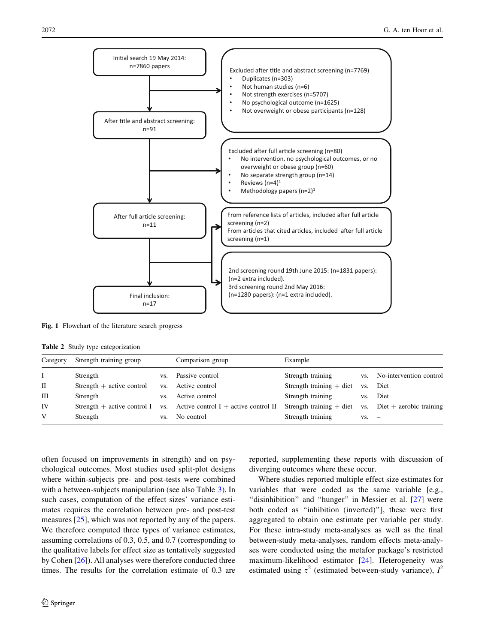<span id="page-3-0"></span>

Fig. 1 Flowchart of the literature search progress

|  |  |  | Table 2 Study type categorization |
|--|--|--|-----------------------------------|
|--|--|--|-----------------------------------|

| Category | Strength training group     |     | Comparison group                                                     | Example                    |         |                           |
|----------|-----------------------------|-----|----------------------------------------------------------------------|----------------------------|---------|---------------------------|
|          | Strength                    | VS. | Passive control                                                      | Strength training          | VS.     | No-intervention control   |
| П        | $Strength + active control$ | VS. | Active control                                                       | Strength training $+$ diet | VS.     | Diet                      |
| Ш        | Strength                    | VS. | Active control                                                       | Strength training          | VS.     | Diet                      |
| IV       |                             |     | Strength + active control I vs. Active control I + active control II | Strength training $+$ diet | VS.     | Diet $+$ aerobic training |
| V        | Strength                    | VS. | No control                                                           | Strength training          | $VS. -$ |                           |

often focused on improvements in strength) and on psychological outcomes. Most studies used split-plot designs where within-subjects pre- and post-tests were combined with a between-subjects manipulation (see also Table [3\)](#page-5-0). In such cases, computation of the effect sizes' variance estimates requires the correlation between pre- and post-test measures [[25\]](#page-11-0), which was not reported by any of the papers. We therefore computed three types of variance estimates, assuming correlations of 0.3, 0.5, and 0.7 (corresponding to the qualitative labels for effect size as tentatively suggested by Cohen [\[26](#page-11-0)]). All analyses were therefore conducted three times. The results for the correlation estimate of 0.3 are

reported, supplementing these reports with discussion of diverging outcomes where these occur.

Where studies reported multiple effect size estimates for variables that were coded as the same variable [e.g., "disinhibition" and "hunger" in Messier et al. [[27\]](#page-11-0) were both coded as ''inhibition (inverted)''], these were first aggregated to obtain one estimate per variable per study. For these intra-study meta-analyses as well as the final between-study meta-analyses, random effects meta-analyses were conducted using the metafor package's restricted maximum-likelihood estimator [[24\]](#page-11-0). Heterogeneity was estimated using  $\tau^2$  (estimated between-study variance),  $I^2$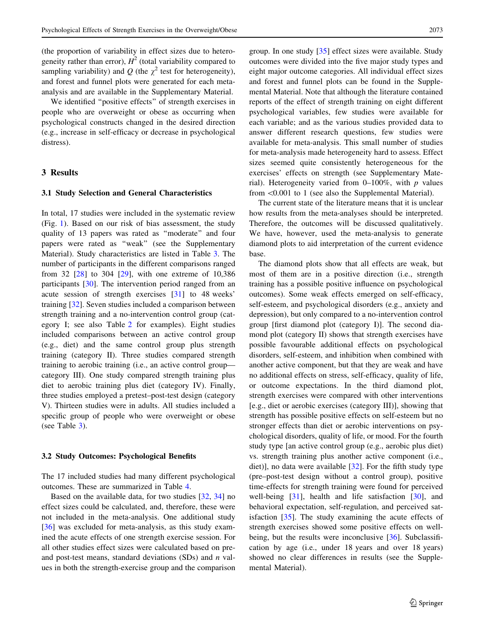(the proportion of variability in effect sizes due to heterogeneity rather than error),  $H^2$  (total variability compared to sampling variability) and Q (the  $\chi^2$  test for heterogeneity), and forest and funnel plots were generated for each metaanalysis and are available in the Supplementary Material.

We identified ''positive effects'' of strength exercises in people who are overweight or obese as occurring when psychological constructs changed in the desired direction (e.g., increase in self-efficacy or decrease in psychological distress).

# 3 Results

#### 3.1 Study Selection and General Characteristics

In total, 17 studies were included in the systematic review (Fig. [1](#page-3-0)). Based on our risk of bias assessment, the study quality of 13 papers was rated as ''moderate'' and four papers were rated as ''weak'' (see the Supplementary Material). Study characteristics are listed in Table [3](#page-5-0). The number of participants in the different comparisons ranged from 32 [[28\]](#page-12-0) to 304 [\[29](#page-12-0)], with one extreme of 10,386 participants [[30\]](#page-12-0). The intervention period ranged from an acute session of strength exercises [[31\]](#page-12-0) to 48 weeks' training [[32\]](#page-12-0). Seven studies included a comparison between strength training and a no-intervention control group (category I; see also Table [2](#page-3-0) for examples). Eight studies included comparisons between an active control group (e.g., diet) and the same control group plus strength training (category II). Three studies compared strength training to aerobic training (i.e., an active control group category III). One study compared strength training plus diet to aerobic training plus diet (category IV). Finally, three studies employed a pretest–post-test design (category V). Thirteen studies were in adults. All studies included a specific group of people who were overweight or obese (see Table [3\)](#page-5-0).

## 3.2 Study Outcomes: Psychological Benefits

The 17 included studies had many different psychological outcomes. These are summarized in Table [4.](#page-8-0)

Based on the available data, for two studies [\[32](#page-12-0), [34\]](#page-12-0) no effect sizes could be calculated, and, therefore, these were not included in the meta-analysis. One additional study [\[36](#page-12-0)] was excluded for meta-analysis, as this study examined the acute effects of one strength exercise session. For all other studies effect sizes were calculated based on preand post-test means, standard deviations (SDs) and  $n$  values in both the strength-exercise group and the comparison group. In one study [[35\]](#page-12-0) effect sizes were available. Study outcomes were divided into the five major study types and eight major outcome categories. All individual effect sizes and forest and funnel plots can be found in the Supplemental Material. Note that although the literature contained reports of the effect of strength training on eight different psychological variables, few studies were available for each variable; and as the various studies provided data to answer different research questions, few studies were available for meta-analysis. This small number of studies for meta-analysis made heterogeneity hard to assess. Effect sizes seemed quite consistently heterogeneous for the exercises' effects on strength (see Supplementary Material). Heterogeneity varied from  $0-100\%$ , with p values from  $\leq 0.001$  to 1 (see also the Supplemental Material).

The current state of the literature means that it is unclear how results from the meta-analyses should be interpreted. Therefore, the outcomes will be discussed qualitatively. We have, however, used the meta-analysis to generate diamond plots to aid interpretation of the current evidence base.

The diamond plots show that all effects are weak, but most of them are in a positive direction (i.e., strength training has a possible positive influence on psychological outcomes). Some weak effects emerged on self-efficacy, self-esteem, and psychological disorders (e.g., anxiety and depression), but only compared to a no-intervention control group [first diamond plot (category I)]. The second diamond plot (category II) shows that strength exercises have possible favourable additional effects on psychological disorders, self-esteem, and inhibition when combined with another active component, but that they are weak and have no additional effects on stress, self-efficacy, quality of life, or outcome expectations. In the third diamond plot, strength exercises were compared with other interventions [e.g., diet or aerobic exercises (category III)], showing that strength has possible positive effects on self-esteem but no stronger effects than diet or aerobic interventions on psychological disorders, quality of life, or mood. For the fourth study type [an active control group (e.g., aerobic plus diet) vs. strength training plus another active component (i.e., diet)], no data were available [\[32](#page-12-0)]. For the fifth study type (pre–post-test design without a control group), positive time-effects for strength training were found for perceived well-being [[31\]](#page-12-0), health and life satisfaction [[30\]](#page-12-0), and behavioral expectation, self-regulation, and perceived satisfaction [[35\]](#page-12-0). The study examining the acute effects of strength exercises showed some positive effects on wellbeing, but the results were inconclusive [\[36](#page-12-0)]. Subclassification by age (i.e., under 18 years and over 18 years) showed no clear differences in results (see the Supplemental Material).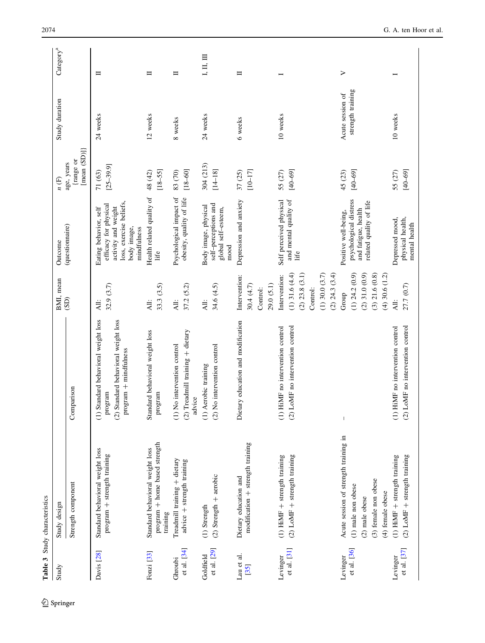<span id="page-5-0"></span>

| Table 3                   | Study characteristics                                                                                                       |                                                                                                                |                                                                                                                   |                                                                                                                                |                                       |                                       |                       |
|---------------------------|-----------------------------------------------------------------------------------------------------------------------------|----------------------------------------------------------------------------------------------------------------|-------------------------------------------------------------------------------------------------------------------|--------------------------------------------------------------------------------------------------------------------------------|---------------------------------------|---------------------------------------|-----------------------|
| Study                     | Study design                                                                                                                |                                                                                                                | BMI, mean                                                                                                         | Outcome                                                                                                                        | n(F)                                  | Study duration                        | Category <sup>a</sup> |
|                           | Strength component                                                                                                          | Comparison                                                                                                     | (3D)                                                                                                              | (questionnaire)                                                                                                                | [mean(SD)]<br>{range or<br>age, years |                                       |                       |
| Davis [28]                | Standard behavioral weight loss<br>program + strength training                                                              | (1) Standard behavioral weight loss<br>(2) Standard behavioral weight loss<br>program + mindfulness<br>program | 32.9 (3.7)<br>All:                                                                                                | loss, exercise beliefs,<br>efficacy for physical<br>activity and weight<br>Eating behavior, self<br>body image,<br>mindfulness | $[25 - 39.9]$<br>71 (63)              | 24 weeks                              | $\blacksquare$        |
| Fonzi [33]                | program + home based strength<br>Standard behavioral weight loss<br>training                                                | Standard behavioral weight loss<br>program                                                                     | 33.3 (3.5)<br>All:                                                                                                | Health related quality of<br>life                                                                                              | $[18 - 55]$<br>48 (42)                | 12 weeks                              | $\equiv$              |
| et al. [34]<br>Ghroubi    | Treadmill training + dietary<br>advice + strength training                                                                  | (2) Treadmill training $+$ dietary<br>(1) No intervention control<br>advice                                    | 37.2(5.2)<br>All:                                                                                                 | Psychological impact of<br>obesity, quality of life                                                                            | $[18 - 60]$<br>83 (70)                | 8 weeks                               | $\blacksquare$        |
| et al. [29]<br>Goldfield  | $(2)$ Strength + aerobic<br>(1) Strength                                                                                    | (2) No intervention control<br>(1) Aerobic training                                                            | 34.6 (4.5)<br>All:                                                                                                | self-perceptions and<br>Body image, physical<br>global self-esteem,<br>$\bmod$                                                 | 304 (213)<br>$[14 - 18]$              | 24 weeks                              | I, II, III            |
| Lau et al.<br>[35]        | modification + strength training<br>Dietary education and                                                                   | Dietary education and modification                                                                             | Intervention:<br>29.0(5.1)<br>30.4 (4.7)<br>Control:                                                              | Depression and anxiety                                                                                                         | $[10 - 17]$<br>37 (25)                | 6 weeks                               | $\blacksquare$        |
| et al. $[31]$<br>Levinger | $(2)$ LoMF + strength training<br>(1) HiMF + strength training                                                              | (2) LoMF no intervention control<br>(1) HiMF no intervention control                                           | $(2)$ 23.8 $(3.1)$<br>$(1)$ 31.6 $(4.4)$<br>$(1)$ 30.0 $(3.7)$<br>$(2)$ 24.3 $(3.4)$<br>Intervention:<br>Control: | Self perceived physical<br>and mental quality of<br>life                                                                       | $[40 - 69]$<br>55 (27)                | 10 weeks                              |                       |
| et al. [36]<br>Levinger   | Acute session of strength training in<br>(3) female non obese<br>(1) male non obese<br>(4) female obese<br>$(2)$ male obese | $\mathsf I$                                                                                                    | $(1)$ 24.2 $(0.9)$<br>$(2)$ 31.0 $(0.9)$<br>$(3)$ 21.6 $(0.8)$<br>$(4)$ 30.6 $(1.2)$<br>Group                     | psychological distress<br>related quality of life<br>and fatigue, health<br>Positive well-being,                               | $[40 - 69]$<br>45 (23)                | strength training<br>Acute session of | >                     |
| et al. $[37]$<br>Levinger | (2) LoMF + strength training<br>(1) HiMF + strength training                                                                | (2) LoMF no intervention control<br>(1) HiMF no intervention control                                           | 27.7 (0.7)<br>All:                                                                                                | physical health,<br>Depressed mood,<br>mental health                                                                           | $[40 - 69]$<br>55 (27)                | 10 weeks                              |                       |

 $\underline{\textcircled{\tiny 2}}$  Springer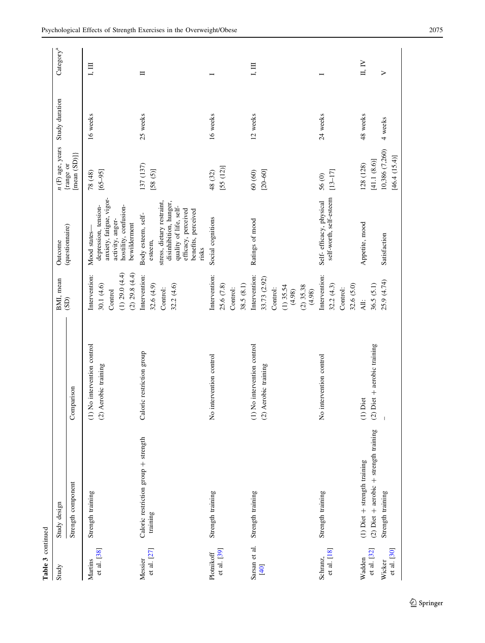| Table 3 continued         |                                                                          |                                                               |                                                                                             |                                                                                                                                                                        |                                 |                |                           |
|---------------------------|--------------------------------------------------------------------------|---------------------------------------------------------------|---------------------------------------------------------------------------------------------|------------------------------------------------------------------------------------------------------------------------------------------------------------------------|---------------------------------|----------------|---------------------------|
| Study                     | Study design                                                             |                                                               | BMI, mean                                                                                   | Outcome                                                                                                                                                                | $n(F)$ age, years               | Study duration | Category <sup>a</sup>     |
|                           | Strength component                                                       | Comparison                                                    | (SD)                                                                                        | (questionnaire)                                                                                                                                                        | [mean(SD)]<br>[range or         |                |                           |
| et al. [38]<br>Martins    | Strength training                                                        | (1) No intervention control<br>(2) Aerobic training           | $(1)$ 29.0 $(4.4)$<br>$(2)$ 29.8 $(4.4)$<br>Intervention:<br>30.1 (4.6)<br>Control          | anxiety, fatigue, vigor-<br>hostility, confusion-<br>depression, tension-<br>activity, anger-<br>bewilderment<br>Mood states-                                          | $[65 - 95]$<br>78 (48)          | 16 weeks       | $\Box$                    |
| et al. [27]<br>Messier    | Caloric restriction group + strength<br>training                         | Caloric restriction group                                     | Intervention:<br>32.6 (4.9)<br>32.2(4.6)<br>Control:                                        | stress, dietary restraint,<br>disinhibition, hunger,<br>quality of life, self-<br>efficacy, perceived<br>benefits, perceived<br>Body esteem, self-<br>esteem,<br>risks | 137 (137)<br>[58(5)]            | 25 weeks       | $\blacksquare$            |
| et al. [39]<br>Plotnikoff | Strength training                                                        | intervention control<br>$\mathsf{S}^{\mathsf{O}}$             | Intervention:<br>38.5 (8.1)<br>25.6 (7.8)<br>Control:                                       | Social cognitions                                                                                                                                                      | [55 (12)]<br>48 (32)            | 16 weeks       |                           |
| Sarsan et al.<br>[40]     | Strength training                                                        | (1) No intervention control<br>(2) Aerobic training           | Intervention:<br>33.73 (2.92)<br>$(1)$ 35.54<br>$(2)$ 35.38<br>Control:<br>(4.98)<br>(4.98) | Ratings of mood                                                                                                                                                        | $[20 - 60]$<br>60 (60)          | 12 weeks       | $\mathbb{I}, \mathbb{II}$ |
| et al. [18]<br>Schranz,   | Strength training                                                        | intervention control<br>$\mathsf{\hat{z}}$                    | Intervention:<br>32.2(4.3)<br>32.6 (5.0)<br>Control:                                        | self-worth, self-esteem<br>Self-efficacy, physical                                                                                                                     | $[13 - 17]$<br>56 (0)           | 24 weeks       |                           |
| et al. [32]<br>Wadden     | (2) Diet + aerobic + strength training<br>$(1)$ Diet + strength training | Diet + aerobic training<br>Diet<br>$\widehat{\Xi}$<br>$\odot$ | 36.5(5.1)<br>All:                                                                           | Appetite, mood                                                                                                                                                         | [41.1 $(8.6)$ ]<br>128 (128)    | 48 weeks       | II, IV                    |
| et al. [30]<br>Wicker     | Strength training                                                        | $\overline{1}$                                                | 25.9 (4.74)                                                                                 | Satisfaction                                                                                                                                                           | 10,386 (7,260)<br>[46.4 (15.4)] | 4 weeks        | >                         |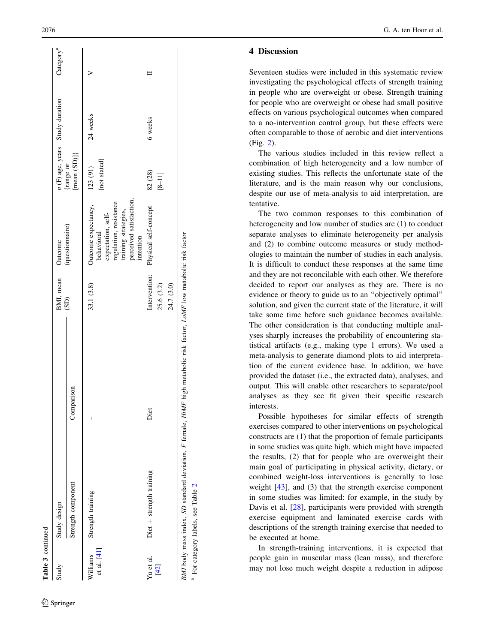| Study                     | Study design                                                                                                          |            | BMI, mean                                 | Outcome                                                                                                                                           | $n(F)$ age, years Study duration |          | Category <sup>ª</sup> |
|---------------------------|-----------------------------------------------------------------------------------------------------------------------|------------|-------------------------------------------|---------------------------------------------------------------------------------------------------------------------------------------------------|----------------------------------|----------|-----------------------|
|                           | Strength component                                                                                                    | Comparison | (SD)                                      | (questionnaire)                                                                                                                                   | [mean(SD)]<br>[range or          |          |                       |
| et al. $[41]$<br>Williams | Strength training                                                                                                     | I          | 33.1 (3.8)                                | perceived satisfaction,<br>regulation, resistance<br>Outcome expectancy,<br>training strategies,<br>expectation, self-<br>behavioral<br>intention | [not stated]<br>123 (91)         | 24 weeks |                       |
| Yu et al.<br>$[42]$       | Diet + strength training                                                                                              | Diet       | Intervention:<br>25.6 (3.2)<br>24.7 (3.0) | Physical self-concept                                                                                                                             | 82 (28)<br>$[8-11]$              | 6 weeks  |                       |
|                           | BMI body mass index, SD standard deviation, F female, HiMF high metabolic risk factor, LoMF low metabolic risk factor |            |                                           |                                                                                                                                                   |                                  |          |                       |

a

<sup>a</sup> For category labels, see Table [2](#page-3-0)

For category labels, see Table

Table 3 continued

Table 3 continued

# 4 Discussion

Seventeen studies were included in this systematic review investigating the psychological effects of strength training in people who are overweight or obese. Strength training for people who are overweight or obese had small positive effects on various psychological outcomes when compared to a no-intervention control group, but these effects were often comparable to those of aerobic and diet interventions (Fig. [2\)](#page-10-0).

The various studies included in this review reflect a combination of high heterogeneity and a low number of existing studies. This reflects the unfortunate state of the literature, and is the main reason why our conclusions, despite our use of meta-analysis to aid interpretation, are tentative.

The two common responses to this combination of heterogeneity and low number of studies are (1) to conduct separate analyses to eliminate heterogeneity per analysis and (2) to combine outcome measures or study methodologies to maintain the number of studies in each analysis. It is difficult to conduct these responses at the same time and they are not reconcilable with each other. We therefore decided to report our analyses as they are. There is no evidence or theory to guide us to an ''objectively optimal'' solution, and given the current state of the literature, it will take some time before such guidance becomes available. The other consideration is that conducting multiple analyses sharply increases the probability of encountering statistical artifacts (e.g., making type 1 errors). We used a meta-analysis to generate diamond plots to aid interpretation of the current evidence base. In addition, we have provided the dataset (i.e., the extracted data), analyses, and output. This will enable other researchers to separate/pool analyses as they see fit given their specific research interests.

Possible hypotheses for similar effects of strength exercises compared to other interventions on psychological constructs are (1) that the proportion of female participants in some studies was quite high, which might have impacted the results, (2) that for people who are overweight their main goal of participating in physical activity, dietary, or combined weight-loss interventions is generally to lose weight [\[43](#page-12-0)], and (3) that the strength exercise component in some studies was limited: for example, in the study by Davis et al. [[28\]](#page-12-0), participants were provided with strength exercise equipment and laminated exercise cards with descriptions of the strength training exercise that needed to be executed at home.

In strength-training interventions, it is expected that people gain in muscular mass (lean mass), and therefore may not lose much weight despite a reduction in adipose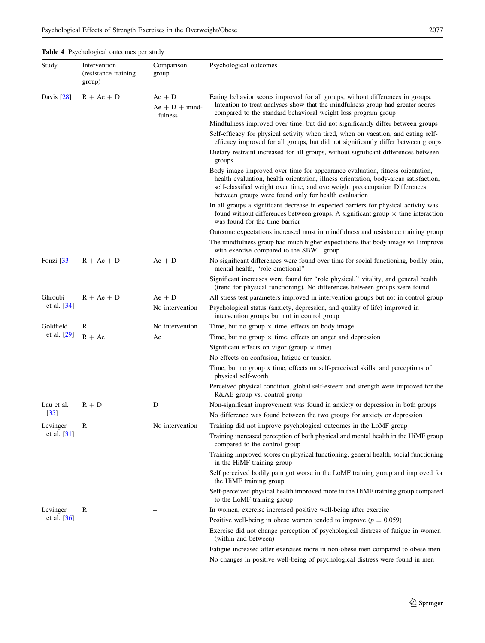# <span id="page-8-0"></span>Table 4 Psychological outcomes per study

| Study              | Intervention<br>(resistance training<br>group) | Comparison<br>group                    | Psychological outcomes                                                                                                                                                                                                                                                                                      |
|--------------------|------------------------------------------------|----------------------------------------|-------------------------------------------------------------------------------------------------------------------------------------------------------------------------------------------------------------------------------------------------------------------------------------------------------------|
| Davis $[28]$       | $R + Ae + D$                                   | $Ae + D$<br>$Ae + D + mind$<br>fulness | Eating behavior scores improved for all groups, without differences in groups.<br>Intention-to-treat analyses show that the mindfulness group had greater scores<br>compared to the standard behavioral weight loss program group                                                                           |
|                    |                                                |                                        | Mindfulness improved over time, but did not significantly differ between groups                                                                                                                                                                                                                             |
|                    |                                                |                                        | Self-efficacy for physical activity when tired, when on vacation, and eating self-<br>efficacy improved for all groups, but did not significantly differ between groups                                                                                                                                     |
|                    |                                                |                                        | Dietary restraint increased for all groups, without significant differences between<br>groups                                                                                                                                                                                                               |
|                    |                                                |                                        | Body image improved over time for appearance evaluation, fitness orientation,<br>health evaluation, health orientation, illness orientation, body-areas satisfaction,<br>self-classified weight over time, and overweight preoccupation Differences<br>between groups were found only for health evaluation |
|                    |                                                |                                        | In all groups a significant decrease in expected barriers for physical activity was<br>found without differences between groups. A significant group $\times$ time interaction<br>was found for the time barrier                                                                                            |
|                    |                                                |                                        | Outcome expectations increased most in mindfulness and resistance training group                                                                                                                                                                                                                            |
|                    |                                                |                                        | The mindfulness group had much higher expectations that body image will improve<br>with exercise compared to the SBWL group                                                                                                                                                                                 |
| Fonzi $[33]$       | $R + Ae + D$                                   | $Ae + D$                               | No significant differences were found over time for social functioning, bodily pain,<br>mental health, "role emotional"                                                                                                                                                                                     |
|                    |                                                |                                        | Significant increases were found for "role physical," vitality, and general health<br>(trend for physical functioning). No differences between groups were found                                                                                                                                            |
| Ghroubi            | $R + Ae + D$                                   | $Ae + D$                               | All stress test parameters improved in intervention groups but not in control group                                                                                                                                                                                                                         |
| et al. $[34]$      |                                                | No intervention                        | Psychological status (anxiety, depression, and quality of life) improved in<br>intervention groups but not in control group                                                                                                                                                                                 |
| Goldfield          | R                                              | No intervention                        | Time, but no group $\times$ time, effects on body image                                                                                                                                                                                                                                                     |
| et al. [29]        | $R + Ae$                                       | Ae                                     | Time, but no group $\times$ time, effects on anger and depression                                                                                                                                                                                                                                           |
|                    |                                                |                                        | Significant effects on vigor (group $\times$ time)                                                                                                                                                                                                                                                          |
|                    |                                                |                                        | No effects on confusion, fatigue or tension                                                                                                                                                                                                                                                                 |
|                    |                                                |                                        | Time, but no group x time, effects on self-perceived skills, and perceptions of<br>physical self-worth                                                                                                                                                                                                      |
|                    |                                                |                                        | Perceived physical condition, global self-esteem and strength were improved for the<br>R&AE group vs. control group                                                                                                                                                                                         |
| Lau et al.         | $R + D$                                        | D                                      | Non-significant improvement was found in anxiety or depression in both groups                                                                                                                                                                                                                               |
| $\lceil 35 \rceil$ |                                                |                                        | No difference was found between the two groups for anxiety or depression                                                                                                                                                                                                                                    |
| Levinger           | R                                              | No intervention                        | Training did not improve psychological outcomes in the LoMF group                                                                                                                                                                                                                                           |
| et al. $[31]$      |                                                |                                        | Training increased perception of both physical and mental health in the HiMF group<br>compared to the control group                                                                                                                                                                                         |
|                    |                                                |                                        | Training improved scores on physical functioning, general health, social functioning<br>in the HiMF training group                                                                                                                                                                                          |
|                    |                                                |                                        | Self perceived bodily pain got worse in the LoMF training group and improved for<br>the HiMF training group                                                                                                                                                                                                 |
|                    |                                                |                                        | Self-perceived physical health improved more in the HiMF training group compared<br>to the LoMF training group                                                                                                                                                                                              |
| Levinger           | R                                              |                                        | In women, exercise increased positive well-being after exercise                                                                                                                                                                                                                                             |
| et al. $[36]$      |                                                |                                        | Positive well-being in obese women tended to improve ( $p = 0.059$ )                                                                                                                                                                                                                                        |
|                    |                                                |                                        | Exercise did not change perception of psychological distress of fatigue in women<br>(within and between)                                                                                                                                                                                                    |
|                    |                                                |                                        | Fatigue increased after exercises more in non-obese men compared to obese men                                                                                                                                                                                                                               |
|                    |                                                |                                        | No changes in positive well-being of psychological distress were found in men                                                                                                                                                                                                                               |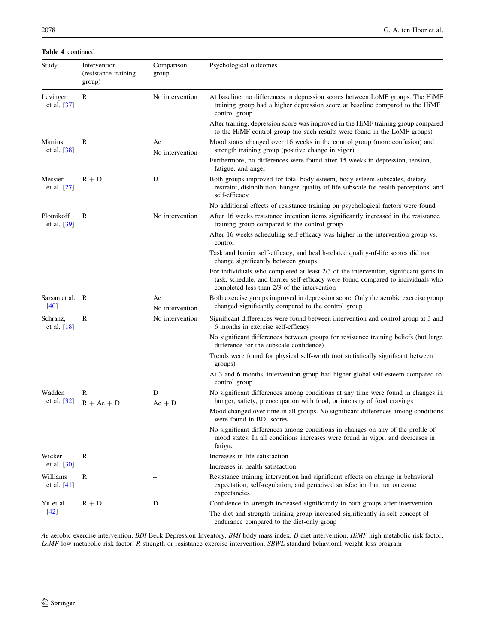Table 4 continued

| Study                           | Intervention<br>(resistance training)<br>group) | Comparison<br>group   | Psychological outcomes                                                                                                                                                                                                  |
|---------------------------------|-------------------------------------------------|-----------------------|-------------------------------------------------------------------------------------------------------------------------------------------------------------------------------------------------------------------------|
| Levinger<br>et al. $[37]$       | R                                               | No intervention       | At baseline, no differences in depression scores between LoMF groups. The HiMF<br>training group had a higher depression score at baseline compared to the HiMF<br>control group                                        |
|                                 |                                                 |                       | After training, depression score was improved in the HiMF training group compared<br>to the HiMF control group (no such results were found in the LoMF groups)                                                          |
| <b>Martins</b><br>et al. $[38]$ | R                                               | Ae<br>No intervention | Mood states changed over 16 weeks in the control group (more confusion) and<br>strength training group (positive change in vigor)                                                                                       |
|                                 |                                                 |                       | Furthermore, no differences were found after 15 weeks in depression, tension,<br>fatigue, and anger                                                                                                                     |
| Messier<br>et al. $[27]$        | $R + D$                                         | D                     | Both groups improved for total body esteem, body esteem subscales, dietary<br>restraint, disinhibition, hunger, quality of life subscale for health perceptions, and<br>self-efficacy                                   |
|                                 |                                                 |                       | No additional effects of resistance training on psychological factors were found                                                                                                                                        |
| Plotnikoff<br>et al. $[39]$     | R                                               | No intervention       | After 16 weeks resistance intention items significantly increased in the resistance<br>training group compared to the control group                                                                                     |
|                                 |                                                 |                       | After 16 weeks scheduling self-efficacy was higher in the intervention group vs.<br>control                                                                                                                             |
|                                 |                                                 |                       | Task and barrier self-efficacy, and health-related quality-of-life scores did not<br>change significantly between groups                                                                                                |
|                                 |                                                 |                       | For individuals who completed at least 2/3 of the intervention, significant gains in<br>task, schedule, and barrier self-efficacy were found compared to individuals who<br>completed less than 2/3 of the intervention |
| Sarsan et al. R<br>[40]         |                                                 | Ae<br>No intervention | Both exercise groups improved in depression score. Only the aerobic exercise group<br>changed significantly compared to the control group                                                                               |
| Schranz,<br>et al. $[18]$       | R                                               | No intervention       | Significant differences were found between intervention and control group at 3 and<br>6 months in exercise self-efficacy                                                                                                |
|                                 |                                                 |                       | No significant differences between groups for resistance training beliefs (but large<br>difference for the subscale confidence)                                                                                         |
|                                 |                                                 |                       | Trends were found for physical self-worth (not statistically significant between<br>groups)                                                                                                                             |
|                                 |                                                 |                       | At 3 and 6 months, intervention group had higher global self-esteem compared to<br>control group                                                                                                                        |
| Wadden<br>et al. $[32]$         | R<br>$R + Ae + D$                               | D<br>$Ae + D$         | No significant differences among conditions at any time were found in changes in<br>hunger, satiety, preoccupation with food, or intensity of food cravings                                                             |
|                                 |                                                 |                       | Mood changed over time in all groups. No significant differences among conditions<br>were found in BDI scores                                                                                                           |
|                                 |                                                 |                       | No significant differences among conditions in changes on any of the profile of<br>mood states. In all conditions increases were found in vigor, and decreases in<br>fatigue                                            |
| Wicker                          | R                                               |                       | Increases in life satisfaction                                                                                                                                                                                          |
| et al. $[30]$                   |                                                 |                       | Increases in health satisfaction                                                                                                                                                                                        |
| Williams<br>et al. [41]         | R                                               |                       | Resistance training intervention had significant effects on change in behavioral<br>expectation, self-regulation, and perceived satisfaction but not outcome<br>expectancies                                            |
| Yu et al.                       | $R + D$                                         | D                     | Confidence in strength increased significantly in both groups after intervention                                                                                                                                        |
| $[42]$                          |                                                 |                       | The diet-and-strength training group increased significantly in self-concept of<br>endurance compared to the diet-only group                                                                                            |

Ae aerobic exercise intervention, BDI Beck Depression Inventory, BMI body mass index, D diet intervention, HiMF high metabolic risk factor, LoMF low metabolic risk factor, R strength or resistance exercise intervention, SBWL standard behavioral weight loss program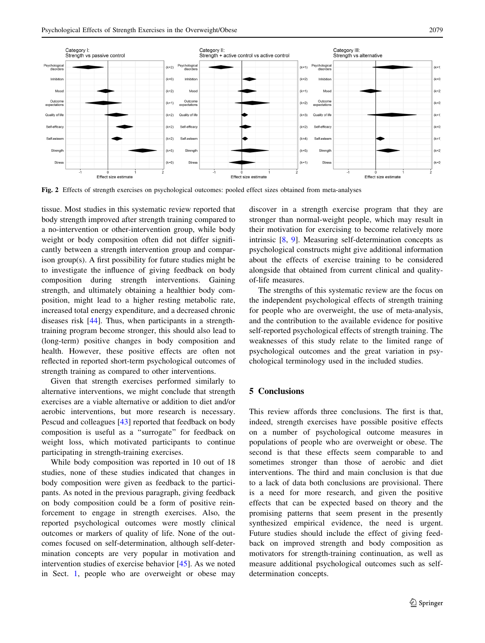<span id="page-10-0"></span>

Fig. 2 Effects of strength exercises on psychological outcomes: pooled effect sizes obtained from meta-analyses

tissue. Most studies in this systematic review reported that body strength improved after strength training compared to a no-intervention or other-intervention group, while body weight or body composition often did not differ significantly between a strength intervention group and comparison group(s). A first possibility for future studies might be to investigate the influence of giving feedback on body composition during strength interventions. Gaining strength, and ultimately obtaining a healthier body composition, might lead to a higher resting metabolic rate, increased total energy expenditure, and a decreased chronic diseases risk [\[44](#page-12-0)]. Thus, when participants in a strengthtraining program become stronger, this should also lead to (long-term) positive changes in body composition and health. However, these positive effects are often not reflected in reported short-term psychological outcomes of strength training as compared to other interventions.

Given that strength exercises performed similarly to alternative interventions, we might conclude that strength exercises are a viable alternative or addition to diet and/or aerobic interventions, but more research is necessary. Pescud and colleagues [[43\]](#page-12-0) reported that feedback on body composition is useful as a ''surrogate'' for feedback on weight loss, which motivated participants to continue participating in strength-training exercises.

While body composition was reported in 10 out of 18 studies, none of these studies indicated that changes in body composition were given as feedback to the participants. As noted in the previous paragraph, giving feedback on body composition could be a form of positive reinforcement to engage in strength exercises. Also, the reported psychological outcomes were mostly clinical outcomes or markers of quality of life. None of the outcomes focused on self-determination, although self-determination concepts are very popular in motivation and intervention studies of exercise behavior [\[45](#page-12-0)]. As we noted in Sect. [1](#page-1-0), people who are overweight or obese may discover in a strength exercise program that they are stronger than normal-weight people, which may result in their motivation for exercising to become relatively more intrinsic [\[8](#page-11-0), [9\]](#page-11-0). Measuring self-determination concepts as psychological constructs might give additional information about the effects of exercise training to be considered alongside that obtained from current clinical and qualityof-life measures.

The strengths of this systematic review are the focus on the independent psychological effects of strength training for people who are overweight, the use of meta-analysis, and the contribution to the available evidence for positive self-reported psychological effects of strength training. The weaknesses of this study relate to the limited range of psychological outcomes and the great variation in psychological terminology used in the included studies.

## 5 Conclusions

This review affords three conclusions. The first is that, indeed, strength exercises have possible positive effects on a number of psychological outcome measures in populations of people who are overweight or obese. The second is that these effects seem comparable to and sometimes stronger than those of aerobic and diet interventions. The third and main conclusion is that due to a lack of data both conclusions are provisional. There is a need for more research, and given the positive effects that can be expected based on theory and the promising patterns that seem present in the presently synthesized empirical evidence, the need is urgent. Future studies should include the effect of giving feedback on improved strength and body composition as motivators for strength-training continuation, as well as measure additional psychological outcomes such as selfdetermination concepts.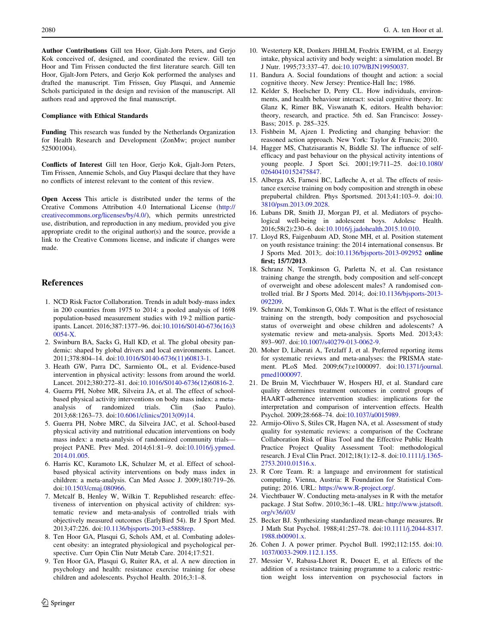<span id="page-11-0"></span>Author Contributions Gill ten Hoor, Gjalt-Jorn Peters, and Gerjo Kok conceived of, designed, and coordinated the review. Gill ten Hoor and Tim Frissen conducted the first literature search. Gill ten Hoor, Gjalt-Jorn Peters, and Gerjo Kok performed the analyses and drafted the manuscript. Tim Frissen, Guy Plasqui, and Annemie Schols participated in the design and revision of the manuscript. All authors read and approved the final manuscript.

#### Compliance with Ethical Standards

Funding This research was funded by the Netherlands Organization for Health Research and Development (ZonMw; project number 525001004).

Conflicts of Interest Gill ten Hoor, Gerjo Kok, Gjalt-Jorn Peters, Tim Frissen, Annemie Schols, and Guy Plasqui declare that they have no conflicts of interest relevant to the content of this review.

Open Access This article is distributed under the terms of the Creative Commons Attribution 4.0 International License ([http://](http://creativecommons.org/licenses/by/4.0/) [creativecommons.org/licenses/by/4.0/\)](http://creativecommons.org/licenses/by/4.0/), which permits unrestricted use, distribution, and reproduction in any medium, provided you give appropriate credit to the original author(s) and the source, provide a link to the Creative Commons license, and indicate if changes were made.

# References

- 1. NCD Risk Factor Collaboration. Trends in adult body-mass index in 200 countries from 1975 to 2014: a pooled analysis of 1698 population-based measurement studies with 19-2 million participants. Lancet. 2016;387:1377–96. doi:[10.1016/S0140-6736\(16\)3](http://dx.doi.org/10.1016/S0140-6736(16)30054-X) [0054-X](http://dx.doi.org/10.1016/S0140-6736(16)30054-X).
- 2. Swinburn BA, Sacks G, Hall KD, et al. The global obesity pandemic: shaped by global drivers and local environments. Lancet. 2011;378:804–14. doi:[10.1016/S0140-6736\(11\)60813-1](http://dx.doi.org/10.1016/S0140-6736(11)60813-1).
- 3. Heath GW, Parra DC, Sarmiento OL, et al. Evidence-based intervention in physical activity: lessons from around the world. Lancet. 2012;380:272–81. doi:[10.1016/S0140-6736\(12\)60816-2](http://dx.doi.org/10.1016/S0140-6736(12)60816-2).
- 4. Guerra PH, Nobre MR, Silveira JA, et al. The effect of schoolbased physical activity interventions on body mass index: a metaanalysis of randomized trials. Clin (Sao Paulo). 2013;68:1263–73. doi:[10.6061/clinics/2013\(09\)14.](http://dx.doi.org/10.6061/clinics/2013(09)14)
- 5. Guerra PH, Nobre MRC, da Silveira JAC, et al. School-based physical activity and nutritional education interventions on body mass index: a meta-analysis of randomized community trials project PANE. Prev Med. 2014;61:81–9. doi[:10.1016/j.ypmed.](http://dx.doi.org/10.1016/j.ypmed.2014.01.005) [2014.01.005.](http://dx.doi.org/10.1016/j.ypmed.2014.01.005)
- 6. Harris KC, Kuramoto LK, Schulzer M, et al. Effect of schoolbased physical activity interventions on body mass index in children: a meta-analysis. Can Med Assoc J. 2009;180:719–26. doi:[10.1503/cmaj.080966.](http://dx.doi.org/10.1503/cmaj.080966)
- 7. Metcalf B, Henley W, Wilkin T. Republished research: effectiveness of intervention on physical activity of children: systematic review and meta-analysis of controlled trials with objectively measured outcomes (EarlyBird 54). Br J Sport Med. 2013;47:226. doi:[10.1136/bjsports-2013-e5888rep.](http://dx.doi.org/10.1136/bjsports-2013-e5888rep)
- 8. Ten Hoor GA, Plasqui G, Schols AM, et al. Combating adolescent obesity: an integrated physiological and psychological perspective. Curr Opin Clin Nutr Metab Care. 2014;17:521.
- 9. Ten Hoor GA, Plasqui G, Ruiter RA, et al. A new direction in psychology and health: resistance exercise training for obese children and adolescents. Psychol Health. 2016;3:1–8.
- 10. Westerterp KR, Donkers JHHLM, Fredrix EWHM, et al. Energy intake, physical activity and body weight: a simulation model. Br J Nutr. 1995;73:337–47. doi[:10.1079/BJN19950037.](http://dx.doi.org/10.1079/BJN19950037)
- 11. Bandura A. Social foundations of thought and action: a social cognitive theory. New Jersey: Prentice-Hall Inc; 1986.
- 12. Kelder S, Hoelscher D, Perry CL. How individuals, environments, and health behaviour interact: social cognitive theory. In: Glanz K, Rimer BK, Viswanath K, editors. Health behavior: theory, research, and practice. 5th ed. San Francisco: Jossey-Bass; 2015. p. 285–325.
- 13. Fishbein M, Ajzen I. Predicting and changing behavior: the reasoned action approach. New York: Taylor & Francis; 2010.
- 14. Hagger MS, Chatzisarantis N, Biddle SJ. The influence of selfefficacy and past behaviour on the physical activity intentions of young people. J Sport Sci. 2001;19:711–25. doi[:10.1080/](http://dx.doi.org/10.1080/02640410152475847) [02640410152475847.](http://dx.doi.org/10.1080/02640410152475847)
- 15. Alberga AS, Farnesi BC, Lafleche A, et al. The effects of resistance exercise training on body composition and strength in obese prepubertal children. Phys Sportsmed. 2013;41:103–9. doi:[10.](http://dx.doi.org/10.3810/psm.2013.09.2028) [3810/psm.2013.09.2028.](http://dx.doi.org/10.3810/psm.2013.09.2028)
- 16. Lubans DR, Smith JJ, Morgan PJ, et al. Mediators of psychological well-being in adolescent boys. Adolesc Health. 2016;58(2):230–6. doi[:10.1016/j.jadohealth.2015.10.010](http://dx.doi.org/10.1016/j.jadohealth.2015.10.010).
- 17. Lloyd RS, Faigenbaum AD, Stone MH, et al. Position statement on youth resistance training: the 2014 international consensus. Br J Sports Med. 2013;. doi[:10.1136/bjsports-2013-092952](http://dx.doi.org/10.1136/bjsports-2013-092952) online first; 15/7/2013.
- 18. Schranz N, Tomkinson G, Parletta N, et al. Can resistance training change the strength, body composition and self-concept of overweight and obese adolescent males? A randomised controlled trial. Br J Sports Med. 2014;. doi:[10.1136/bjsports-2013-](http://dx.doi.org/10.1136/bjsports-2013-092209) [092209](http://dx.doi.org/10.1136/bjsports-2013-092209).
- 19. Schranz N, Tomkinson G, Olds T. What is the effect of resistance training on the strength, body composition and psychosocial status of overweight and obese children and adolescents? A systematic review and meta-analysis. Sports Med. 2013;43: 893–907. doi:[10.1007/s40279-013-0062-9](http://dx.doi.org/10.1007/s40279-013-0062-9).
- 20. Moher D, Liberati A, Tetzlaff J, et al. Preferred reporting items for systematic reviews and meta-analyses: the PRISMA statement. PLoS Med. 2009;6(7):e1000097. doi[:10.1371/journal.](http://dx.doi.org/10.1371/journal.pmed1000097) [pmed1000097](http://dx.doi.org/10.1371/journal.pmed1000097).
- 21. De Bruin M, Viechtbauer W, Hospers HJ, et al. Standard care quality determines treatment outcomes in control groups of HAART-adherence intervention studies: implications for the interpretation and comparison of intervention effects. Health Psychol. 2009;28:668–74. doi[:10.1037/a0015989.](http://dx.doi.org/10.1037/a0015989)
- 22. Armijo-Olivo S, Stiles CR, Hagen NA, et al. Assessment of study quality for systematic reviews: a comparison of the Cochrane Collaboration Risk of Bias Tool and the Effective Public Health Practice Project Quality Assessment Tool: methodological research. J Eval Clin Pract. 2012;18(1):12–8. doi[:10.1111/j.1365-](http://dx.doi.org/10.1111/j.1365-2753.2010.01516.x) [2753.2010.01516.x](http://dx.doi.org/10.1111/j.1365-2753.2010.01516.x).
- 23. R Core Team. R: a language and environment for statistical computing. Vienna, Austria: R Foundation for Statistical Computing; 2016. URL: [https://www.R-project.org/.](https://www.R-project.org/)
- 24. Viechtbauer W. Conducting meta-analyses in R with the metafor package. J Stat Softw. 2010;36:1–48. URL: [http://www.jstatsoft.](http://www.jstatsoft.org/v36/i03/) [org/v36/i03/](http://www.jstatsoft.org/v36/i03/)
- 25. Becker BJ. Synthesizing standardized mean-change measures. Br J Math Stat Psychol. 1988;41:257–78. doi[:10.1111/j.2044-8317.](http://dx.doi.org/10.1111/j.2044-8317.1988.tb00901.x) [1988.tb00901.x.](http://dx.doi.org/10.1111/j.2044-8317.1988.tb00901.x)
- 26. Cohen J. A power primer. Psychol Bull. 1992;112:155. doi:[10.](http://dx.doi.org/10.1037/0033-2909.112.1.155) [1037/0033-2909.112.1.155.](http://dx.doi.org/10.1037/0033-2909.112.1.155)
- 27. Messier V, Rabasa-Lhoret R, Doucet E, et al. Effects of the addition of a resistance training programme to a caloric restriction weight loss intervention on psychosocial factors in